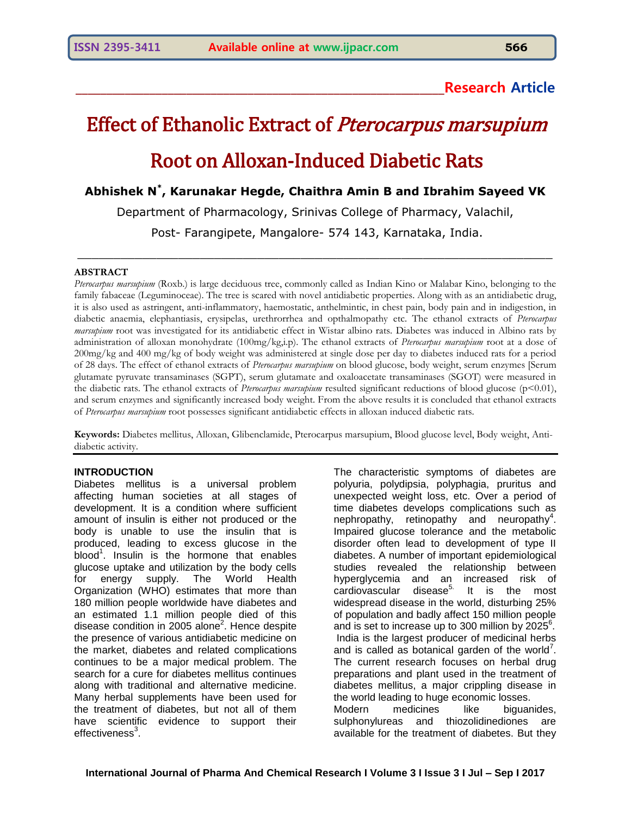# **\_\_\_\_\_\_\_\_\_\_\_\_\_\_\_\_\_\_\_\_\_\_\_\_\_\_\_\_\_\_\_\_\_\_\_\_\_\_\_\_\_\_\_\_\_\_\_\_\_\_\_\_\_\_\_\_\_\_\_\_Research Article**

# Effect of Ethanolic Extract of Pterocarpus marsupium Root on Alloxan-Induced Diabetic Rats

**Abhishek N\* , Karunakar Hegde, Chaithra Amin B and Ibrahim Sayeed VK**

Department of Pharmacology, Srinivas College of Pharmacy, Valachil,

Post- Farangipete, Mangalore- 574 143, Karnataka, India.

 $\_$  , and the set of the set of the set of the set of the set of the set of the set of the set of the set of the set of the set of the set of the set of the set of the set of the set of the set of the set of the set of th

#### **ABSTRACT**

*Pterocarpus marsupium* (Roxb.) is large deciduous tree, commonly called as Indian Kino or Malabar Kino, belonging to the family fabaceae (Leguminoceae). The tree is scared with novel antidiabetic properties. Along with as an antidiabetic drug, it is also used as astringent, anti-inflammatory, haemostatic, anthelmintic, in chest pain, body pain and in indigestion, in diabetic anaemia, elephantiasis, erysipelas, urethrorrhea and opthalmopathy etc. The ethanol extracts of *Pterocarpus marsupium* root was investigated for its antidiabetic effect in Wistar albino rats. Diabetes was induced in Albino rats by administration of alloxan monohydrate (100mg/kg,i.p). The ethanol extracts of *Pterocarpus marsupium* root at a dose of 200mg/kg and 400 mg/kg of body weight was administered at single dose per day to diabetes induced rats for a period of 28 days. The effect of ethanol extracts of *Pterocarpus marsupium* on blood glucose, body weight, serum enzymes [Serum glutamate pyruvate transaminases (SGPT), serum glutamate and oxaloacetate transaminases (SGOT) were measured in the diabetic rats. The ethanol extracts of *Pterocarpus marsupium* resulted significant reductions of blood glucose (p<0.01), and serum enzymes and significantly increased body weight. From the above results it is concluded that ethanol extracts of *Pterocarpus marsupium* root possesses significant antidiabetic effects in alloxan induced diabetic rats.

**Keywords:** Diabetes mellitus, Alloxan, Glibenclamide, Pterocarpus marsupium, Blood glucose level, Body weight, Antidiabetic activity.

#### **INTRODUCTION**

Diabetes mellitus is a universal problem affecting human societies at all stages of development. It is a condition where sufficient amount of insulin is either not produced or the body is unable to use the insulin that is produced, leading to excess glucose in the blood<sup>1</sup>. Insulin is the hormone that enables glucose uptake and utilization by the body cells for energy supply. The World Health Organization (WHO) estimates that more than 180 million people worldwide have diabetes and an estimated 1.1 million people died of this disease condition in 2005 alone<sup>2</sup>. Hence despite the presence of various antidiabetic medicine on the market, diabetes and related complications continues to be a major medical problem. The search for a cure for diabetes mellitus continues along with traditional and alternative medicine. Many herbal supplements have been used for the treatment of diabetes, but not all of them have scientific evidence to support their effectiveness $^3$ .

The characteristic symptoms of diabetes are polyuria, polydipsia, polyphagia, pruritus and unexpected weight loss, etc. Over a period of time diabetes develops complications such as nephropathy, retinopathy and neuropathy<sup>4</sup>. Impaired glucose tolerance and the metabolic disorder often lead to development of type II diabetes. A number of important epidemiological studies revealed the relationship between hyperglycemia and an increased risk of  $cardio<sub>va</sub>scular$  disease<sup>5.</sup> It is the most widespread disease in the world, disturbing 25% of population and badly affect 150 million people and is set to increase up to 300 million by  $2025^6$ . India is the largest producer of medicinal herbs and is called as botanical garden of the world<sup>7</sup>. The current research focuses on herbal drug preparations and plant used in the treatment of diabetes mellitus, a major crippling disease in the world leading to huge economic losses. Modern medicines like biguanides, sulphonylureas and thiozolidinediones are available for the treatment of diabetes. But they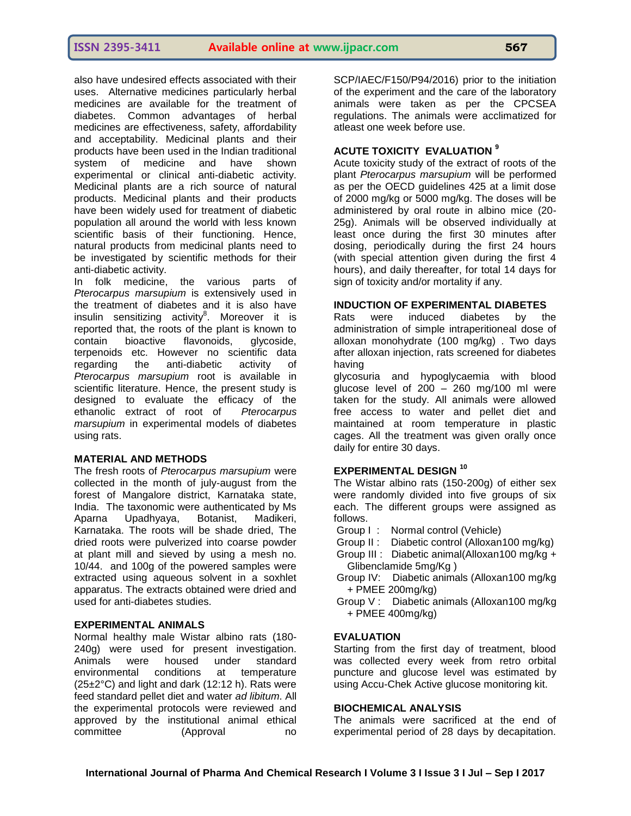also have undesired effects associated with their uses. Alternative medicines particularly herbal medicines are available for the treatment of diabetes. Common advantages of herbal medicines are effectiveness, safety, affordability and acceptability. Medicinal plants and their products have been used in the Indian traditional system of medicine and have shown experimental or clinical anti-diabetic activity. Medicinal plants are a rich source of natural products. Medicinal plants and their products have been widely used for treatment of diabetic population all around the world with less known scientific basis of their functioning. Hence, natural products from medicinal plants need to be investigated by scientific methods for their anti-diabetic activity.

In folk medicine, the various parts of *Pterocarpus marsupium* is extensively used in the treatment of diabetes and it is also have insulin sensitizing activity<sup>8</sup>. Moreover it is reported that, the roots of the plant is known to contain bioactive flavonoids, glycoside, terpenoids etc. However no scientific data regarding the anti-diabetic activity of *Pterocarpus marsupium* root is available in scientific literature. Hence, the present study is designed to evaluate the efficacy of the ethanolic extract of root of *Pterocarpus marsupium* in experimental models of diabetes using rats.

#### **MATERIAL AND METHODS**

The fresh roots of *Pterocarpus marsupium* were collected in the month of july-august from the forest of Mangalore district, Karnataka state, India. The taxonomic were authenticated by Ms Aparna Upadhyaya, Botanist, Madikeri, Karnataka. The roots will be shade dried, The dried roots were pulverized into coarse powder at plant mill and sieved by using a mesh no. 10/44. and 100g of the powered samples were extracted using aqueous solvent in a soxhlet apparatus. The extracts obtained were dried and used for anti-diabetes studies.

#### **EXPERIMENTAL ANIMALS**

Normal healthy male Wistar albino rats (180- 240g) were used for present investigation. Animals were housed under standard environmental conditions at temperature (25±2°C) and light and dark (12:12 h). Rats were feed standard pellet diet and water *ad libitum*. All the experimental protocols were reviewed and approved by the institutional animal ethical committee (Approval no

SCP/IAEC/F150/P94/2016) prior to the initiation of the experiment and the care of the laboratory animals were taken as per the CPCSEA regulations. The animals were acclimatized for atleast one week before use.

## **ACUTE TOXICITY EVALUATION <sup>9</sup>**

Acute toxicity study of the extract of roots of the plant *Pterocarpus marsupium* will be performed as per the OECD guidelines 425 at a limit dose of 2000 mg/kg or 5000 mg/kg. The doses will be administered by oral route in albino mice (20- 25g). Animals will be observed individually at least once during the first 30 minutes after dosing, periodically during the first 24 hours (with special attention given during the first 4 hours), and daily thereafter, for total 14 days for sign of toxicity and/or mortality if any.

#### **INDUCTION OF EXPERIMENTAL DIABETES**

Rats were induced diabetes by the administration of simple intraperitioneal dose of alloxan monohydrate (100 mg/kg) . Two days after alloxan injection, rats screened for diabetes having

glycosuria and hypoglycaemia with blood glucose level of  $200 - 260$  mg/100 ml were taken for the study. All animals were allowed free access to water and pellet diet and maintained at room temperature in plastic cages. All the treatment was given orally once daily for entire 30 days.

#### **EXPERIMENTAL DESIGN <sup>10</sup>**

The Wistar albino rats (150-200g) of either sex were randomly divided into five groups of six each. The different groups were assigned as follows.

- Group I : Normal control (Vehicle)
- Group II : Diabetic control (Alloxan100 mg/kg)
- Group III : Diabetic animal(Alloxan100 mg/kg + Glibenclamide 5mg/Kg )
- Group IV: Diabetic animals (Alloxan100 mg/kg + PMEE 200mg/kg)
- Group V : Diabetic animals (Alloxan100 mg/kg + PMEE 400mg/kg)

#### **EVALUATION**

Starting from the first day of treatment, blood was collected every week from retro orbital puncture and glucose level was estimated by using Accu-Chek Active glucose monitoring kit.

#### **BIOCHEMICAL ANALYSIS**

The animals were sacrificed at the end of experimental period of 28 days by decapitation.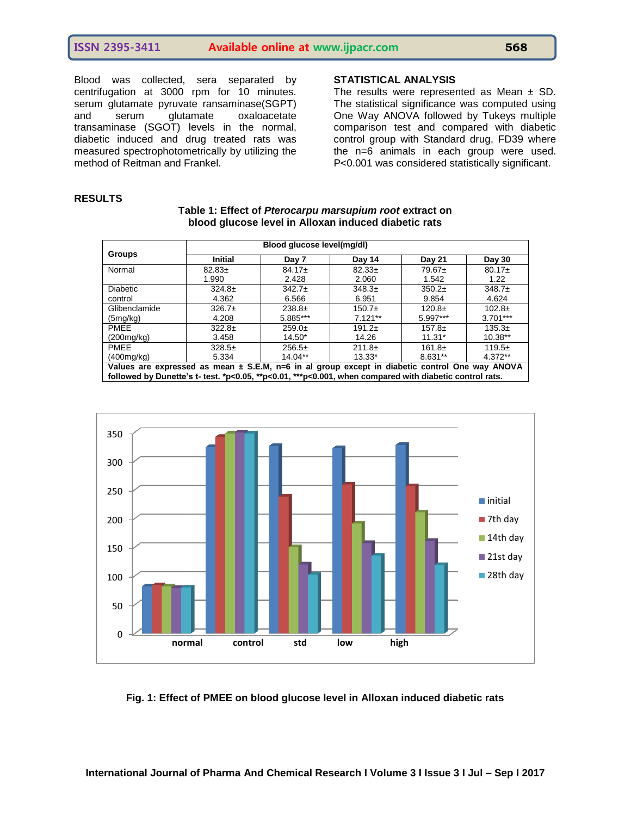# **ISSN 2395-3411 Available online at www.ijpacr.com 568**

Blood was collected, sera separated by centrifugation at 3000 rpm for 10 minutes. serum glutamate pyruvate ransaminase(SGPT)<br>and serum glutamate oxaloacetate and serum glutamate oxaloacetate transaminase (SGOT) levels in the normal, diabetic induced and drug treated rats was measured spectrophotometrically by utilizing the method of Reitman and Frankel.

# **STATISTICAL ANALYSIS**

The results were represented as Mean  $\pm$  SD. The statistical significance was computed using One Way ANOVA followed by Tukeys multiple comparison test and compared with diabetic control group with Standard drug, FD39 where the n=6 animals in each group were used. P<0.001 was considered statistically significant.

#### **RESULTS**

| Table 1: Effect of Pterocarpu marsupium root extract on |
|---------------------------------------------------------|
| blood glucose level in Alloxan induced diabetic rats    |

|                                                                                                            |                | Blood glucose level(mg/dl) |           |               |             |
|------------------------------------------------------------------------------------------------------------|----------------|----------------------------|-----------|---------------|-------------|
| <b>Groups</b>                                                                                              | <b>Initial</b> | Day 7                      | Day 14    | <b>Day 21</b> | Day 30      |
| Normal                                                                                                     | $82.83+$       | $84.17+$                   | $82.33+$  | $79.67 \pm$   | $80.17+$    |
|                                                                                                            | 1.990          | 2.428                      | 2.060     | 1.542         | 1.22        |
| <b>Diabetic</b>                                                                                            | $324.8+$       | $342.7+$                   | $348.3+$  | $350.2+$      | $348.7+$    |
| control                                                                                                    | 4.362          | 6.566                      | 6.951     | 9.854         | 4.624       |
| Glibenclamide                                                                                              | $326.7+$       | $238.8+$                   | $150.7+$  | $120.8+$      | $102.8 \pm$ |
| (5mg/kg)                                                                                                   | 4.208          | 5.885***                   | $7.121**$ | 5.997***      | $3.701***$  |
| <b>PMEE</b>                                                                                                | $322.8+$       | $259.0+$                   | $191.2+$  | $157.8+$      | $135.3+$    |
| (200mg/kg)                                                                                                 | 3.458          | $14.50*$                   | 14.26     | $11.31*$      | $10.38**$   |
| <b>PMEE</b>                                                                                                | $328.5+$       | $256.5+$                   | $211.8+$  | $161.8+$      | $119.5+$    |
| (400mg/kg)                                                                                                 | 5.334          | $14.04**$                  | $13.33*$  | $8.631**$     | $4.372**$   |
| Values are expressed as mean $\pm$ S.E.M, n=6 in al group except in diabetic control One way ANOVA         |                |                            |           |               |             |
| followed by Dunette's t- test. $p<0.05$ , $p<0.01$ , $p<0.001$ , when compared with diabetic control rats. |                |                            |           |               |             |



#### **Fig. 1: Effect of PMEE on blood glucose level in Alloxan induced diabetic rats**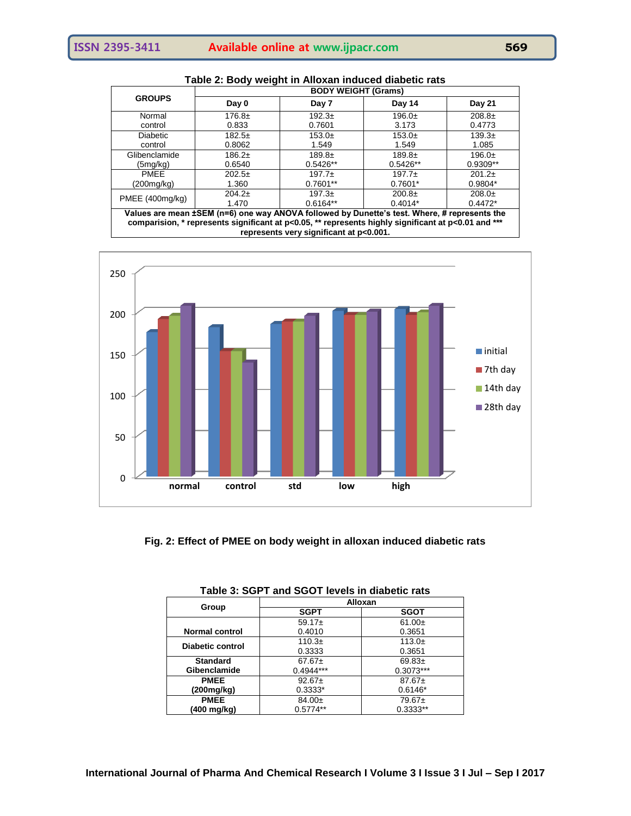| <b>GROUPS</b>   | Day 0                                                                                        | Day 7      | Day 14     | Day 21    |
|-----------------|----------------------------------------------------------------------------------------------|------------|------------|-----------|
| Normal          | $176.8 \pm$                                                                                  | $192.3+$   | $196.0+$   | $208.8+$  |
| control         | 0.833                                                                                        | 0.7601     | 3.173      | 0.4773    |
| <b>Diabetic</b> | $182.5+$                                                                                     | $153.0+$   | $153.0+$   | $139.3+$  |
| control         | 0.8062                                                                                       | 1.549      | 1.549      | 1.085     |
| Glibenclamide   | $186.2+$                                                                                     | $189.8+$   | $189.8+$   | $196.0+$  |
| (5mg/kg)        | 0.6540                                                                                       | $0.5426**$ | $0.5426**$ | 0.9309**  |
| <b>PMEE</b>     | $202.5+$                                                                                     | $197.7+$   | $197.7+$   | $201.2+$  |
| (200mg/kg)      | 1.360                                                                                        | $0.7601**$ | $0.7601*$  | $0.9804*$ |
| PMEE (400mg/kg) | $204.2+$                                                                                     | $197.3+$   | $200.8+$   | $208.0+$  |
|                 | 1.470                                                                                        | $0.6164**$ | $0.4014*$  | $0.4472*$ |
|                 | Values are mean ±SEM (n=6) one way ANOVA followed by Dunette's test. Where, # represents the |            |            |           |

**Table 2: Body weight in Alloxan induced diabetic rats**

**Values are mean ±SEM (n=6) one way ANOVA followed by Dunette's test. Where, # represents the comparision, \* represents significant at p<0.05, \*\* represents highly significant at p<0.01 and \*\*\* represents very significant at p<0.001.**



**Fig. 2: Effect of PMEE on body weight in alloxan induced diabetic rats**

|                         | ישטו טווישענט ווי פון דעט אוווי ושט ווי שט |             |
|-------------------------|--------------------------------------------|-------------|
|                         |                                            | Alloxan     |
| Group                   | <b>SGPT</b>                                | <b>SGOT</b> |
|                         | $59.17+$                                   | $61.00+$    |
| <b>Normal control</b>   | 0.4010                                     | 0.3651      |
| <b>Diabetic control</b> | $110.3+$                                   | 113.0 $\pm$ |
|                         | 0.3333                                     | 0.3651      |
| <b>Standard</b>         | $67.67 \pm$                                | $69.83+$    |
| Gibenclamide            | $0.4944***$                                | $0.3073***$ |
| <b>PMEE</b>             | $92.67+$                                   | $87.67+$    |
| (200mg/kg)              | $0.3333*$                                  | $0.6146*$   |
| <b>PMEE</b>             | $84.00+$                                   | 79.67±      |
| (400 mg/kg)             | $0.5774**$                                 | 0.3333**    |

| Table 3: SGPT and SGOT levels in diabetic rats |
|------------------------------------------------|
|------------------------------------------------|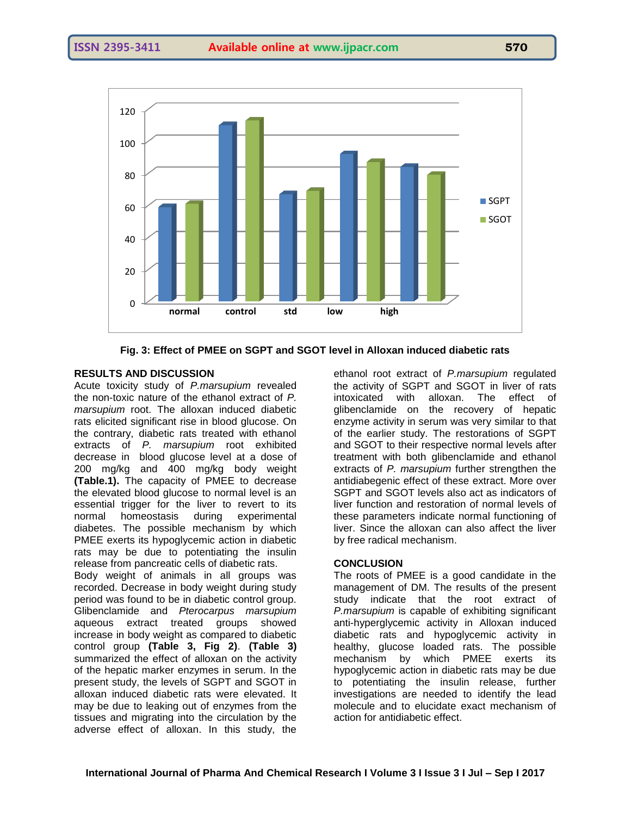

**Fig. 3: Effect of PMEE on SGPT and SGOT level in Alloxan induced diabetic rats**

#### **RESULTS AND DISCUSSION**

Acute toxicity study of *P.marsupium* revealed the non-toxic nature of the ethanol extract of *P. marsupium* root. The alloxan induced diabetic rats elicited significant rise in blood glucose. On the contrary, diabetic rats treated with ethanol extracts of *P. marsupium* root exhibited decrease in blood glucose level at a dose of 200 mg/kg and 400 mg/kg body weight **(Table.1).** The capacity of PMEE to decrease the elevated blood glucose to normal level is an essential trigger for the liver to revert to its normal homeostasis during experimental diabetes. The possible mechanism by which PMEE exerts its hypoglycemic action in diabetic rats may be due to potentiating the insulin release from pancreatic cells of diabetic rats.

Body weight of animals in all groups was recorded. Decrease in body weight during study period was found to be in diabetic control group. Glibenclamide and *Pterocarpus marsupium*  aqueous extract treated groups showed increase in body weight as compared to diabetic control group **(Table 3, Fig 2)**. **(Table 3)** summarized the effect of alloxan on the activity of the hepatic marker enzymes in serum. In the present study, the levels of SGPT and SGOT in alloxan induced diabetic rats were elevated. It may be due to leaking out of enzymes from the tissues and migrating into the circulation by the adverse effect of alloxan. In this study, the

ethanol root extract of *P.marsupium* regulated the activity of SGPT and SGOT in liver of rats intoxicated with alloxan. The effect of glibenclamide on the recovery of hepatic enzyme activity in serum was very similar to that of the earlier study. The restorations of SGPT and SGOT to their respective normal levels after treatment with both glibenclamide and ethanol extracts of *P. marsupium* further strengthen the antidiabegenic effect of these extract. More over SGPT and SGOT levels also act as indicators of liver function and restoration of normal levels of these parameters indicate normal functioning of liver. Since the alloxan can also affect the liver by free radical mechanism.

#### **CONCLUSION**

The roots of PMEE is a good candidate in the management of DM. The results of the present study indicate that the root extract of *P.marsupium* is capable of exhibiting significant anti-hyperglycemic activity in Alloxan induced diabetic rats and hypoglycemic activity in healthy, glucose loaded rats. The possible mechanism by which PMEE exerts its hypoglycemic action in diabetic rats may be due to potentiating the insulin release, further investigations are needed to identify the lead molecule and to elucidate exact mechanism of action for antidiabetic effect.